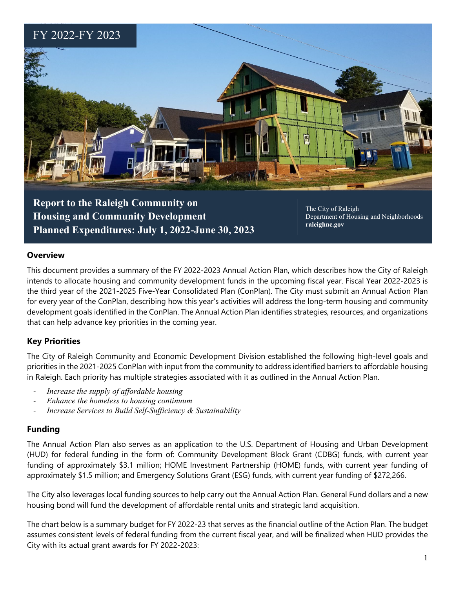

**Housing and Community Development Planned Expenditures: July 1, 2022-June 30, 2023**

Department of Housing and Neighborhoods **raleighnc.gov**

#### **Overview**

This document provides a summary of the FY 2022-2023 Annual Action Plan, which describes how the City of Raleigh intends to allocate housing and community development funds in the upcoming fiscal year. Fiscal Year 2022-2023 is the third year of the 2021-2025 Five-Year Consolidated Plan (ConPlan). The City must submit an Annual Action Plan for every year of the ConPlan, describing how this year's activities will address the long-term housing and community development goals identified in the ConPlan. The Annual Action Plan identifies strategies, resources, and organizations that can help advance key priorities in the coming year.

## **Key Priorities**

The City of Raleigh Community and Economic Development Division established the following high-level goals and priorities in the 2021-2025 ConPlan with input from the community to address identified barriers to affordable housing in Raleigh. Each priority has multiple strategies associated with it as outlined in the Annual Action Plan.

- *Increase the supply of affordable housing*
- *Enhance the homeless to housing continuum*
- *Increase Services to Build Self-Sufficiency & Sustainability*

## **Funding**

The Annual Action Plan also serves as an application to the U.S. Department of Housing and Urban Development (HUD) for federal funding in the form of: Community Development Block Grant (CDBG) funds, with current year funding of approximately \$3.1 million; HOME Investment Partnership (HOME) funds, with current year funding of approximately \$1.5 million; and Emergency Solutions Grant (ESG) funds, with current year funding of \$272,266.

The City also leverages local funding sources to help carry out the Annual Action Plan. General Fund dollars and a new housing bond will fund the development of affordable rental units and strategic land acquisition.

The chart below is a summary budget for FY 2022-23 that serves as the financial outline of the Action Plan. The budget assumes consistent levels of federal funding from the current fiscal year, and will be finalized when HUD provides the City with its actual grant awards for FY 2022-2023: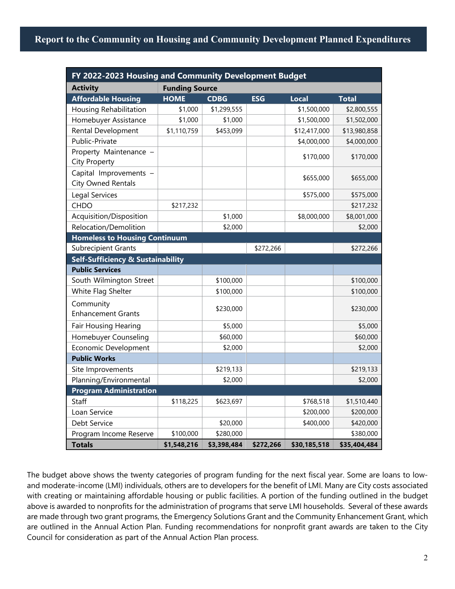# **Report to the Community on Housing and Community Development Planned Expenditures**

| FY 2022-2023 Housing and Community Development Budget |                       |             |            |              |              |
|-------------------------------------------------------|-----------------------|-------------|------------|--------------|--------------|
| <b>Activity</b>                                       | <b>Funding Source</b> |             |            |              |              |
| <b>Affordable Housing</b>                             | <b>HOME</b>           | <b>CDBG</b> | <b>ESG</b> | <b>Local</b> | <b>Total</b> |
| Housing Rehabilitation                                | \$1,000               | \$1,299,555 |            | \$1,500,000  | \$2,800,555  |
| Homebuyer Assistance                                  | \$1,000               | \$1,000     |            | \$1,500,000  | \$1,502,000  |
| Rental Development                                    | \$1,110,759           | \$453,099   |            | \$12,417,000 | \$13,980,858 |
| Public-Private                                        |                       |             |            | \$4,000,000  | \$4,000,000  |
| Property Maintenance -<br><b>City Property</b>        |                       |             |            | \$170,000    | \$170,000    |
| Capital Improvements -<br><b>City Owned Rentals</b>   |                       |             |            | \$655,000    | \$655,000    |
| Legal Services                                        |                       |             |            | \$575,000    | \$575,000    |
| <b>CHDO</b>                                           | \$217,232             |             |            |              | \$217,232    |
| Acquisition/Disposition                               |                       | \$1,000     |            | \$8,000,000  | \$8,001,000  |
| Relocation/Demolition                                 |                       | \$2,000     |            |              | \$2,000      |
| <b>Homeless to Housing Continuum</b>                  |                       |             |            |              |              |
| <b>Subrecipient Grants</b>                            |                       |             | \$272,266  |              | \$272,266    |
| <b>Self-Sufficiency &amp; Sustainability</b>          |                       |             |            |              |              |
| <b>Public Services</b>                                |                       |             |            |              |              |
| South Wilmington Street                               |                       | \$100,000   |            |              | \$100,000    |
| White Flag Shelter                                    |                       | \$100,000   |            |              | \$100,000    |
| Community<br><b>Enhancement Grants</b>                |                       | \$230,000   |            |              | \$230,000    |
| Fair Housing Hearing                                  |                       | \$5,000     |            |              | \$5,000      |
| Homebuyer Counseling                                  |                       | \$60,000    |            |              | \$60,000     |
| Economic Development                                  |                       | \$2,000     |            |              | \$2,000      |
| <b>Public Works</b>                                   |                       |             |            |              |              |
| Site Improvements                                     |                       | \$219,133   |            |              | \$219,133    |
| Planning/Environmental                                |                       | \$2,000     |            |              | \$2,000      |
| <b>Program Administration</b>                         |                       |             |            |              |              |
| Staff                                                 | \$118,225             | \$623,697   |            | \$768,518    | \$1,510,440  |
| Loan Service                                          |                       |             |            | \$200,000    | \$200,000    |
| Debt Service                                          |                       | \$20,000    |            | \$400,000    | \$420,000    |
| Program Income Reserve                                | \$100,000             | \$280,000   |            |              | \$380,000    |
| <b>Totals</b>                                         | \$1,548,216           | \$3,398,484 | \$272,266  | \$30,185,518 | \$35,404,484 |

The budget above shows the twenty categories of program funding for the next fiscal year. Some are loans to lowand moderate-income (LMI) individuals, others are to developers for the benefit of LMI. Many are City costs associated with creating or maintaining affordable housing or public facilities. A portion of the funding outlined in the budget above is awarded to nonprofits for the administration of programs that serve LMI households. Several of these awards are made through two grant programs, the Emergency Solutions Grant and the Community Enhancement Grant, which are outlined in the Annual Action Plan. Funding recommendations for nonprofit grant awards are taken to the City Council for consideration as part of the Annual Action Plan process.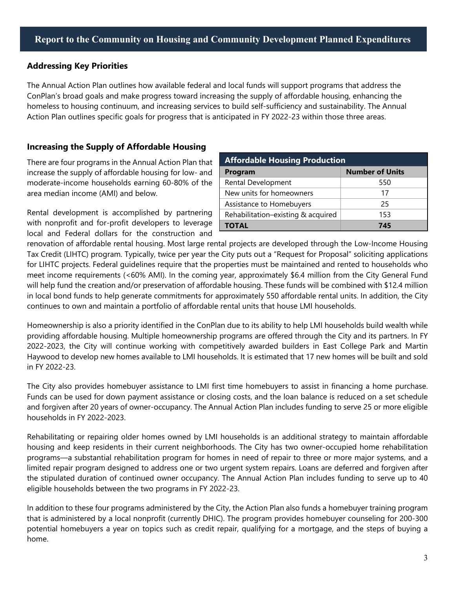### **Addressing Key Priorities**

The Annual Action Plan outlines how available federal and local funds will support programs that address the ConPlan's broad goals and make progress toward increasing the supply of affordable housing, enhancing the homeless to housing continuum, and increasing services to build self-sufficiency and sustainability. The Annual Action Plan outlines specific goals for progress that is anticipated in FY 2022-23 within those three areas.

### **Increasing the Supply of Affordable Housing**

There are four programs in the Annual Action Plan that increase the supply of affordable housing for low- and moderate-income households earning 60-80% of the area median income (AMI) and below.

Rental development is accomplished by partnering with nonprofit and for-profit developers to leverage local and Federal dollars for the construction and

| <b>Affordable Housing Production</b> |                        |  |  |  |
|--------------------------------------|------------------------|--|--|--|
| Program                              | <b>Number of Units</b> |  |  |  |
| Rental Development                   | 550                    |  |  |  |
| New units for homeowners             | 17                     |  |  |  |
| Assistance to Homebuyers             | 25                     |  |  |  |
| Rehabilitation-existing & acquired   | 153                    |  |  |  |
| <b>TOTAL</b>                         | 745                    |  |  |  |

renovation of affordable rental housing. Most large rental projects are developed through the Low-Income Housing Tax Credit (LIHTC) program. Typically, twice per year the City puts out a "Request for Proposal" soliciting applications for LIHTC projects. Federal guidelines require that the properties must be maintained and rented to households who meet income requirements (<60% AMI). In the coming year, approximately \$6.4 million from the City General Fund will help fund the creation and/or preservation of affordable housing. These funds will be combined with \$12.4 million in local bond funds to help generate commitments for approximately 550 affordable rental units. In addition, the City continues to own and maintain a portfolio of affordable rental units that house LMI households.

Homeownership is also a priority identified in the ConPlan due to its ability to help LMI households build wealth while providing affordable housing. Multiple homeownership programs are offered through the City and its partners. In FY 2022-2023, the City will continue working with competitively awarded builders in East College Park and Martin Haywood to develop new homes available to LMI households. It is estimated that 17 new homes will be built and sold in FY 2022-23.

The City also provides homebuyer assistance to LMI first time homebuyers to assist in financing a home purchase. Funds can be used for down payment assistance or closing costs, and the loan balance is reduced on a set schedule and forgiven after 20 years of owner-occupancy. The Annual Action Plan includes funding to serve 25 or more eligible households in FY 2022-2023.

Rehabilitating or repairing older homes owned by LMI households is an additional strategy to maintain affordable housing and keep residents in their current neighborhoods. The City has two owner-occupied home rehabilitation programs—a substantial rehabilitation program for homes in need of repair to three or more major systems, and a limited repair program designed to address one or two urgent system repairs. Loans are deferred and forgiven after the stipulated duration of continued owner occupancy. The Annual Action Plan includes funding to serve up to 40 eligible households between the two programs in FY 2022-23.

In addition to these four programs administered by the City, the Action Plan also funds a homebuyer training program that is administered by a local nonprofit (currently DHIC). The program provides homebuyer counseling for 200-300 potential homebuyers a year on topics such as credit repair, qualifying for a mortgage, and the steps of buying a home.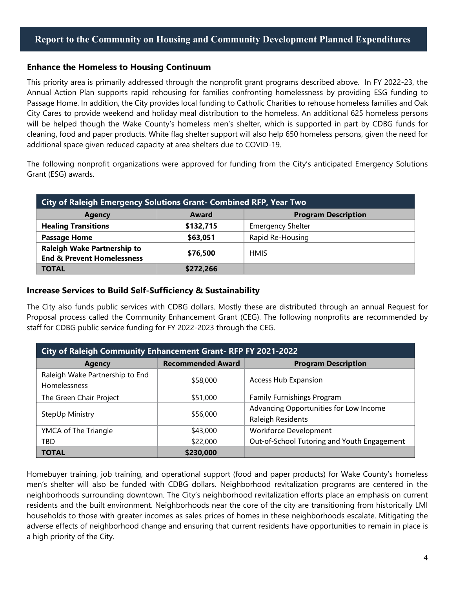### **Enhance the Homeless to Housing Continuum**

This priority area is primarily addressed through the nonprofit grant programs described above. In FY 2022-23, the Annual Action Plan supports rapid rehousing for families confronting homelessness by providing ESG funding to Passage Home. In addition, the City provides local funding to Catholic Charities to rehouse homeless families and Oak City Cares to provide weekend and holiday meal distribution to the homeless. An additional 625 homeless persons will be helped though the Wake County's homeless men's shelter, which is supported in part by CDBG funds for cleaning, food and paper products. White flag shelter support will also help 650 homeless persons, given the need for additional space given reduced capacity at area shelters due to COVID-19.

The following nonprofit organizations were approved for funding from the City's anticipated Emergency Solutions Grant (ESG) awards.

| <b>City of Raleigh Emergency Solutions Grant- Combined RFP, Year Two</b>    |                                     |                          |  |  |
|-----------------------------------------------------------------------------|-------------------------------------|--------------------------|--|--|
| <b>Agency</b>                                                               | <b>Program Description</b><br>Award |                          |  |  |
| <b>Healing Transitions</b>                                                  | \$132,715                           | <b>Emergency Shelter</b> |  |  |
| <b>Passage Home</b>                                                         | \$63,051                            | Rapid Re-Housing         |  |  |
| <b>Raleigh Wake Partnership to</b><br><b>End &amp; Prevent Homelessness</b> | \$76,500                            | <b>HMIS</b>              |  |  |
| <b>TOTAL</b>                                                                | \$272,266                           |                          |  |  |

#### **Increase Services to Build Self-Sufficiency & Sustainability**

The City also funds public services with CDBG dollars. Mostly these are distributed through an annual Request for Proposal process called the Community Enhancement Grant (CEG). The following nonprofits are recommended by staff for CDBG public service funding for FY 2022-2023 through the CEG.

| City of Raleigh Community Enhancement Grant-RFP FY 2021-2022 |                          |                                                             |  |  |  |
|--------------------------------------------------------------|--------------------------|-------------------------------------------------------------|--|--|--|
| <b>Agency</b>                                                | <b>Recommended Award</b> | <b>Program Description</b>                                  |  |  |  |
| Raleigh Wake Partnership to End<br><b>Homelessness</b>       | \$58,000                 | <b>Access Hub Expansion</b>                                 |  |  |  |
| The Green Chair Project                                      | \$51,000                 | <b>Family Furnishings Program</b>                           |  |  |  |
| StepUp Ministry                                              | \$56,000                 | Advancing Opportunities for Low Income<br>Raleigh Residents |  |  |  |
| YMCA of The Triangle                                         | \$43,000                 | <b>Workforce Development</b>                                |  |  |  |
| TBD                                                          | \$22,000                 | Out-of-School Tutoring and Youth Engagement                 |  |  |  |
| <b>TOTAL</b>                                                 | \$230,000                |                                                             |  |  |  |

Homebuyer training, job training, and operational support (food and paper products) for Wake County's homeless men's shelter will also be funded with CDBG dollars. Neighborhood revitalization programs are centered in the neighborhoods surrounding downtown. The City's neighborhood revitalization efforts place an emphasis on current residents and the built environment. Neighborhoods near the core of the city are transitioning from historically LMI households to those with greater incomes as sales prices of homes in these neighborhoods escalate. Mitigating the adverse effects of neighborhood change and ensuring that current residents have opportunities to remain in place is a high priority of the City.